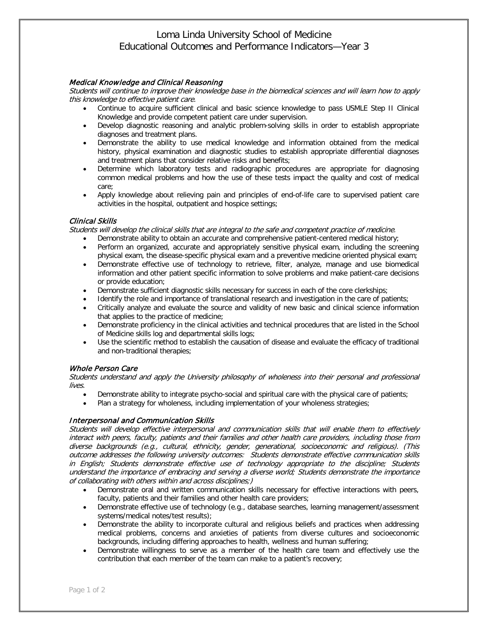# Loma Linda University School of Medicine Educational Outcomes and Performance Indicators—Year 3

## Medical Knowledge and Clinical Reasoning

Students will continue to improve their knowledge base in the biomedical sciences and will learn how to apply this knowledge to effective patient care.

- Continue to acquire sufficient clinical and basic science knowledge to pass USMLE Step II Clinical Knowledge and provide competent patient care under supervision.
- Develop diagnostic reasoning and analytic problem-solving skills in order to establish appropriate diagnoses and treatment plans.
- Demonstrate the ability to use medical knowledge and information obtained from the medical history, physical examination and diagnostic studies to establish appropriate differential diagnoses and treatment plans that consider relative risks and benefits;
- Determine which laboratory tests and radiographic procedures are appropriate for diagnosing common medical problems and how the use of these tests impact the quality and cost of medical care;
- Apply knowledge about relieving pain and principles of end-of-life care to supervised patient care activities in the hospital, outpatient and hospice settings;

### Clinical Skills

Students will develop the clinical skills that are integral to the safe and competent practice of medicine.

- Demonstrate ability to obtain an accurate and comprehensive patient-centered medical history;
- Perform an organized, accurate and appropriately sensitive physical exam, including the screening physical exam, the disease-specific physical exam and a preventive medicine oriented physical exam;
- Demonstrate effective use of technology to retrieve, filter, analyze, manage and use biomedical information and other patient specific information to solve problems and make patient-care decisions or provide education;
- Demonstrate sufficient diagnostic skills necessary for success in each of the core clerkships;
- Identify the role and importance of translational research and investigation in the care of patients;
- Critically analyze and evaluate the source and validity of new basic and clinical science information that applies to the practice of medicine;
- Demonstrate proficiency in the clinical activities and technical procedures that are listed in the School of Medicine skills log and departmental skills logs;
- Use the scientific method to establish the causation of disease and evaluate the efficacy of traditional and non-traditional therapies;

#### Whole Person Care

Students understand and apply the University philosophy of wholeness into their personal and professional lives.

- Demonstrate ability to integrate psycho-social and spiritual care with the physical care of patients;
- Plan a strategy for wholeness, including implementation of your wholeness strategies;

#### Interpersonal and Communication Skills

Students will develop effective interpersonal and communication skills that will enable them to effectively interact with peers, faculty, patients and their families and other health care providers, including those from diverse backgrounds (e.g., cultural, ethnicity, gender, generational, socioeconomic and religious). (This outcome addresses the following university outcomes: Students demonstrate effective communication skills in English; Students demonstrate effective use of technology appropriate to the discipline; Students understand the importance of embracing and serving a diverse world; Students demonstrate the importance of collaborating with others within and across disciplines;)

- Demonstrate oral and written communication skills necessary for effective interactions with peers, faculty, patients and their families and other health care providers;
- Demonstrate effective use of technology (e.g., database searches, learning management/assessment systems/medical notes/test results);
- Demonstrate the ability to incorporate cultural and religious beliefs and practices when addressing medical problems, concerns and anxieties of patients from diverse cultures and socioeconomic backgrounds, including differing approaches to health, wellness and human suffering;
- Demonstrate willingness to serve as a member of the health care team and effectively use the contribution that each member of the team can make to a patient's recovery;